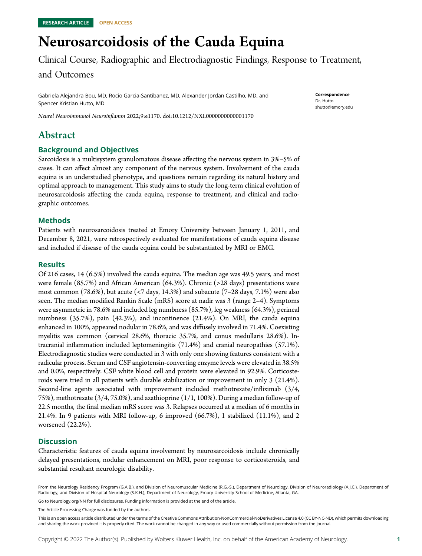# Neurosarcoidosis of the Cauda Equina

Clinical Course, Radiographic and Electrodiagnostic Findings, Response to Treatment,

#### and Outcomes

Gabriela Alejandra Bou, MD, Rocio Garcia-Santibanez, MD, Alexander Jordan Castilho, MD, and Spencer Kristian Hutto, MD

Neurol Neuroimmunol Neuroinflamm 2022;9:e1170. doi[:10.1212/NXI.0000000000001170](http://dx.doi.org/10.1212/NXI.0000000000001170)

# Abstract

#### Background and Objectives

Sarcoidosis is a multisystem granulomatous disease affecting the nervous system in 3%–5% of cases. It can affect almost any component of the nervous system. Involvement of the cauda equina is an understudied phenotype, and questions remain regarding its natural history and optimal approach to management. This study aims to study the long-term clinical evolution of neurosarcoidosis affecting the cauda equina, response to treatment, and clinical and radiographic outcomes.

#### Methods

Patients with neurosarcoidosis treated at Emory University between January 1, 2011, and December 8, 2021, were retrospectively evaluated for manifestations of cauda equina disease and included if disease of the cauda equina could be substantiated by MRI or EMG.

#### Results

Of 216 cases, 14 (6.5%) involved the cauda equina. The median age was 49.5 years, and most were female (85.7%) and African American (64.3%). Chronic (>28 days) presentations were most common (78.6%), but acute (<7 days, 14.3%) and subacute (7–28 days, 7.1%) were also seen. The median modified Rankin Scale (mRS) score at nadir was 3 (range 2–4). Symptoms were asymmetric in 78.6% and included leg numbness (85.7%), leg weakness (64.3%), perineal numbness (35.7%), pain (42.3%), and incontinence (21.4%). On MRI, the cauda equina enhanced in 100%, appeared nodular in 78.6%, and was diffusely involved in 71.4%. Coexisting myelitis was common (cervical 28.6%, thoracic 35.7%, and conus medullaris 28.6%). Intracranial inflammation included leptomeningitis (71.4%) and cranial neuropathies (57.1%). Electrodiagnostic studies were conducted in 3 with only one showing features consistent with a radicular process. Serum and CSF angiotensin-converting enzyme levels were elevated in 38.5% and 0.0%, respectively. CSF white blood cell and protein were elevated in 92.9%. Corticosteroids were tried in all patients with durable stabilization or improvement in only 3 (21.4%). Second-line agents associated with improvement included methotrexate/infliximab (3/4, 75%), methotrexate (3/4, 75.0%), and azathioprine (1/1, 100%). During a median follow-up of 22.5 months, the final median mRS score was 3. Relapses occurred at a median of 6 months in 21.4%. In 9 patients with MRI follow-up, 6 improved (66.7%), 1 stabilized (11.1%), and 2 worsened (22.2%).

#### **Discussion**

Characteristic features of cauda equina involvement by neurosarcoidosis include chronically delayed presentations, nodular enhancement on MRI, poor response to corticosteroids, and substantial resultant neurologic disability.

Go to [Neurology.org/NN](https://nn.neurology.org/content/9/4/e1170/tab-article-info) for full disclosures. Funding information is provided at the end of the article.

The Article Processing Charge was funded by the authors.

Correspondence Dr. Hutto [shutto@emory.edu](mailto:shutto@emory.edu)

From the Neurology Residency Program (G.A.B.), and Division of Neuromuscular Medicine (R.G.-S.), Department of Neurology, Division of Neuroradiology (A.J.C.), Department of Radiology, and Division of Hospital Neurology (S.K.H.), Department of Neurology, Emory University School of Medicine, Atlanta, GA.

This is an open access article distributed under the terms of the [Creative Commons Attribution-NonCommercial-NoDerivatives License 4.0 \(CC BY-NC-ND\),](http://creativecommons.org/licenses/by-nc-nd/4.0/) which permits downloading and sharing the work provided it is properly cited. The work cannot be changed in any way or used commercially without permission from the journal.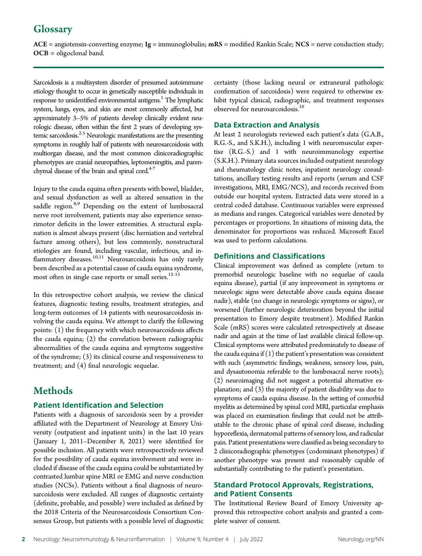# Glossary

 $ACE = angiotensin-converting enzyme; Ig = immunoglobulin; mRS = modified Rankin Scale; NCS = nerve conduction study;$ OCB = oligoclonal band.

Sarcoidosis is a multisystem disorder of presumed autoimmune etiology thought to occur in genetically susceptible individuals in response to unidentified environmental antigens.<sup>1</sup> The lymphatic system, lungs, eyes, and skin are most commonly affected, but approximately 3–5% of patients develop clinically evident neurologic disease, often within the first 2 years of developing systemic sarcoidosis. $2-5$  Neurologic manifestations are the presenting symptoms in roughly half of patients with neurosarcoidosis with multiorgan disease, and the most common clinicoradiographic phenotypes are cranial neuropathies, leptomeningitis, and parenchymal disease of the brain and spinal cord. $47$ 

Injury to the cauda equina often presents with bowel, bladder, and sexual dysfunction as well as altered sensation in the saddle region.<sup>8,9</sup> Depending on the extent of lumbosacral nerve root involvement, patients may also experience sensorimotor deficits in the lower extremities. A structural explanation is almost always present (disc herniation and vertebral facture among others), but less commonly, nonstructural etiologies are found, including vascular, infectious, and inflammatory diseases.<sup>10,11</sup> Neurosarcoidosis has only rarely been described as a potential cause of cauda equina syndrome, most often in single case reports or small series.<sup>12-15</sup>

In this retrospective cohort analysis, we review the clinical features, diagnostic testing results, treatment strategies, and long-term outcomes of 14 patients with neurosarcoidosis involving the cauda equina. We attempt to clarify the following points: (1) the frequency with which neurosarcoidosis affects the cauda equina; (2) the correlation between radiographic abnormalities of the cauda equina and symptoms suggestive of the syndrome; (3) its clinical course and responsiveness to treatment; and (4) final neurologic sequelae.

## **Methods**

#### Patient Identification and Selection

Patients with a diagnosis of sarcoidosis seen by a provider affiliated with the Department of Neurology at Emory University (outpatient and inpatient units) in the last 10 years (January 1, 2011–December 8, 2021) were identified for possible inclusion. All patients were retrospectively reviewed for the possibility of cauda equina involvement and were included if disease of the cauda equina could be substantiated by contrasted lumbar spine MRI or EMG and nerve conduction studies (NCSs). Patients without a final diagnosis of neurosarcoidosis were excluded. All ranges of diagnostic certainty (definite, probable, and possible) were included as defined by the 2018 Criteria of the Neurosarcoidosis Consortium Consensus Group, but patients with a possible level of diagnostic

certainty (those lacking neural or extraneural pathologic confirmation of sarcoidosis) were required to otherwise exhibit typical clinical, radiographic, and treatment responses observed for neurosarcoidosis.<sup>16</sup>

#### Data Extraction and Analysis

At least 2 neurologists reviewed each patient's data (G.A.B., R.G.-S., and S.K.H.), including 1 with neuromuscular expertise (R.G.-S.) and 1 with neuroimmunology expertise (S.K.H.). Primary data sources included outpatient neurology and rheumatology clinic notes, inpatient neurology consultations, ancillary testing results and reports (serum and CSF investigations, MRI, EMG/NCS), and records received from outside our hospital system. Extracted data were stored in a central coded database. Continuous variables were expressed as medians and ranges. Categorical variables were denoted by percentages or proportions. In situations of missing data, the denominator for proportions was reduced. Microsoft Excel was used to perform calculations.

#### Definitions and Classifications

Clinical improvement was defined as complete (return to premorbid neurologic baseline with no sequelae of cauda equina disease), partial (if any improvement in symptoms or neurologic signs were detectable above cauda equina disease nadir), stable (no change in neurologic symptoms or signs), or worsened (further neurologic deterioration beyond the initial presentation to Emory despite treatment). Modified Rankin Scale (mRS) scores were calculated retrospectively at disease nadir and again at the time of last available clinical follow-up. Clinical symptoms were attributed predominately to disease of the cauda equina if  $(1)$  the patient's presentation was consistent with such (asymmetric findings, weakness, sensory loss, pain, and dysautonomia referable to the lumbosacral nerve roots); (2) neuroimaging did not suggest a potential alternative explanation; and (3) the majority of patient disability was due to symptoms of cauda equina disease. In the setting of comorbid myelitis as determined by spinal cord MRI, particular emphasis was placed on examination findings that could not be attributable to the chronic phase of spinal cord disease, including hyporeflexia, dermatomal patterns of sensory loss, and radicular pain. Patient presentations were classified as being secondary to 2 clinicoradiographic phenotypes (codominant phenotypes) if another phenotype was present and reasonably capable of substantially contributing to the patient's presentation.

#### Standard Protocol Approvals, Registrations, and Patient Consents

The Institutional Review Board of Emory University approved this retrospective cohort analysis and granted a complete waiver of consent.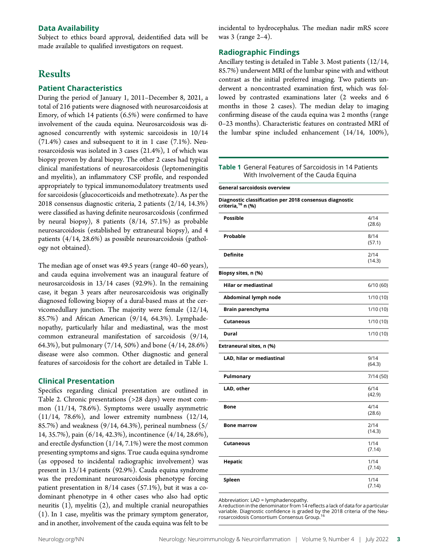#### Data Availability

Subject to ethics board approval, deidentified data will be made available to qualified investigators on request.

### **Results**

#### Patient Characteristics

During the period of January 1, 2011–December 8, 2021, a total of 216 patients were diagnosed with neurosarcoidosis at Emory, of which 14 patients (6.5%) were confirmed to have involvement of the cauda equina. Neurosarcoidosis was diagnosed concurrently with systemic sarcoidosis in 10/14  $(71.4%)$  cases and subsequent to it in 1 case  $(7.1%)$ . Neurosarcoidosis was isolated in 3 cases (21.4%), 1 of which was biopsy proven by dural biopsy. The other 2 cases had typical clinical manifestations of neurosarcoidosis (leptomeningitis and myelitis), an inflammatory CSF profile, and responded appropriately to typical immunomodulatory treatments used for sarcoidosis (glucocorticoids and methotrexate). As per the 2018 consensus diagnostic criteria, 2 patients (2/14, 14.3%) were classified as having definite neurosarcoidosis (confirmed by neural biopsy), 8 patients (8/14, 57.1%) as probable neurosarcoidosis (established by extraneural biopsy), and 4 patients (4/14, 28.6%) as possible neurosarcoidosis (pathology not obtained).

The median age of onset was 49.5 years (range 40–60 years), and cauda equina involvement was an inaugural feature of neurosarcoidosis in 13/14 cases (92.9%). In the remaining case, it began 3 years after neurosarcoidosis was originally diagnosed following biopsy of a dural-based mass at the cervicomedullary junction. The majority were female (12/14, 85.7%) and African American (9/14, 64.3%). Lymphadenopathy, particularly hilar and mediastinal, was the most common extraneural manifestation of sarcoidosis (9/14, 64.3%), but pulmonary (7/14, 50%) and bone (4/14, 28.6%) disease were also common. Other diagnostic and general features of sarcoidosis for the cohort are detailed in Table 1.

#### Clinical Presentation

Specifics regarding clinical presentation are outlined in Table 2. Chronic presentations (>28 days) were most common (11/14, 78.6%). Symptoms were usually asymmetric  $(11/14, 78.6%)$ , and lower extremity numbness  $(12/14, 11/14)$ 85.7%) and weakness (9/14, 64.3%), perineal numbness (5/ 14, 35.7%), pain (6/14, 42.3%), incontinence (4/14, 28.6%), and erectile dysfunction (1/14, 7.1%) were the most common presenting symptoms and signs. True cauda equina syndrome (as opposed to incidental radiographic involvement) was present in 13/14 patients (92.9%). Cauda equina syndrome was the predominant neurosarcoidosis phenotype forcing patient presentation in 8/14 cases (57.1%), but it was a codominant phenotype in 4 other cases who also had optic neuritis (1), myelitis (2), and multiple cranial neuropathies (1). In 1 case, myelitis was the primary symptom generator, and in another, involvement of the cauda equina was felt to be

incidental to hydrocephalus. The median nadir mRS score was 3 (range 2–4).

#### Radiographic Findings

Ancillary testing is detailed in Table 3. Most patients (12/14, 85.7%) underwent MRI of the lumbar spine with and without contrast as the initial preferred imaging. Two patients underwent a noncontrasted examination first, which was followed by contrasted examinations later (2 weeks and 6 months in those 2 cases). The median delay to imaging confirming disease of the cauda equina was 2 months (range 0–23 months). Characteristic features on contrasted MRI of the lumbar spine included enhancement (14/14, 100%),

#### Table 1 General Features of Sarcoidosis in 14 Patients With Involvement of the Cauda Equina

General sarcoidosis overview

| Diagnostic classification per 2018 consensus diagnostic |  |
|---------------------------------------------------------|--|
| criteria, <sup>16</sup> n (%)                           |  |

| <b>Possible</b>             | 4/14<br>(28.6) |
|-----------------------------|----------------|
| Probable                    | 8/14<br>(57.1) |
| <b>Definite</b>             | 2/14<br>(14.3) |
| Biopsy sites, n (%)         |                |
| <b>Hilar or mediastinal</b> | 6/10(60)       |
| Abdominal lymph node        | 1/10(10)       |
| Brain parenchyma            | 1/10(10)       |
| <b>Cutaneous</b>            | 1/10(10)       |
| Dural                       | 1/10(10)       |
| Extraneural sites, n (%)    |                |
| LAD, hilar or mediastinal   | 9/14<br>(64.3) |
| Pulmonary                   | 7/14(50)       |
| LAD, other                  | 6/14<br>(42.9) |
| Bone                        | 4/14<br>(28.6) |
| <b>Bone marrow</b>          | 2/14<br>(14.3) |
| <b>Cutaneous</b>            | 1/14<br>(7.14) |
| Hepatic                     | 1/14<br>(7.14) |
| Spleen                      | 1/14<br>(7.14) |

Abbreviation: LAD = lymphadenopathy.

A reduction in the denominator from 14 reflects a lack of data for a particular variable. Diagnostic confidence is graded by the 2018 criteria of the Neurosarcoidosis Consortium Consensus Group.16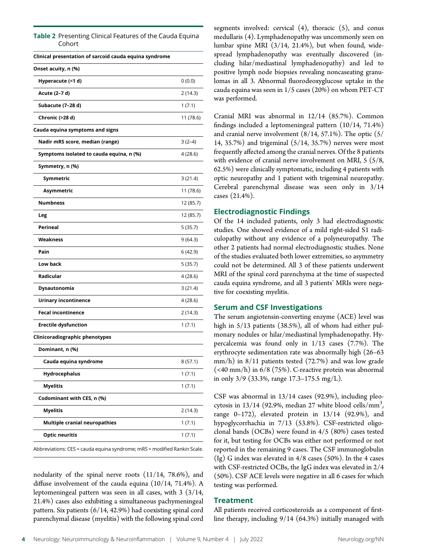#### Table 2 Presenting Clinical Features of the Cauda Equina Cohort

| Clinical presentation of sarcoid cauda equina syndrome                   |           |
|--------------------------------------------------------------------------|-----------|
| Onset acuity, n (%)                                                      |           |
| Hyperacute (<1 d)                                                        | 0(0.0)    |
| Acute (2-7 d)                                                            | 2 (14.3)  |
| Subacute (7-28 d)                                                        | 1(7.1)    |
| Chronic (>28 d)                                                          | 11 (78.6) |
| Cauda equina symptoms and signs                                          |           |
| Nadir mRS score, median (range)                                          | $3(2-4)$  |
| Symptoms isolated to cauda equina, n (%)                                 | 4 (28.6)  |
| Symmetry, n (%)                                                          |           |
| Symmetric                                                                | 3(21.4)   |
| Asymmetric                                                               | 11 (78.6) |
| <b>Numbness</b>                                                          | 12 (85.7) |
| Leg                                                                      | 12 (85.7) |
| <b>Perineal</b>                                                          | 5 (35.7)  |
| Weakness                                                                 | 9 (64.3)  |
| Pain                                                                     | 6(42.9)   |
| Low back                                                                 | 5 (35.7)  |
| Radicular                                                                | 4 (28.6)  |
| Dysautonomia                                                             | 3(21.4)   |
| Urinary incontinence                                                     | 4 (28.6)  |
| <b>Fecal incontinence</b>                                                | 2 (14.3)  |
| <b>Erectile dysfunction</b>                                              | 1(7.1)    |
| Clinicoradiographic phenotypes                                           |           |
| Dominant, n (%)                                                          |           |
| Cauda equina syndrome                                                    | 8 (57.1)  |
| Hydrocephalus                                                            | 1(7.1)    |
| Myelitis                                                                 | 1(7.1)    |
| Codominant with CES, n (%)                                               |           |
| <b>Myelitis</b>                                                          | 2(14.3)   |
| <b>Multiple cranial neuropathies</b>                                     | 1(7.1)    |
| <b>Optic neuritis</b>                                                    | 1(7.1)    |
| Abbreviations: CES = cauda equina syndrome; mRS = modified Rankin Scale. |           |

nodularity of the spinal nerve roots (11/14, 78.6%), and diffuse involvement of the cauda equina (10/14, 71.4%). A leptomeningeal pattern was seen in all cases, with  $3(3/14,$ 21.4%) cases also exhibiting a simultaneous pachymeningeal pattern. Six patients (6/14, 42.9%) had coexisting spinal cord parenchymal disease (myelitis) with the following spinal cord segments involved: cervical  $(4)$ , thoracic  $(5)$ , and conus medullaris (4). Lymphadenopathy was uncommonly seen on lumbar spine MRI (3/14, 21.4%), but when found, widespread lymphadenopathy was eventually discovered (including hilar/mediastinal lymphadenopathy) and led to positive lymph node biopsies revealing noncaseating granulomas in all 3. Abnormal fluorodeoxyglucose uptake in the cauda equina was seen in 1/5 cases (20%) on whom PET-CT was performed.

Cranial MRI was abnormal in 12/14 (85.7%). Common findings included a leptomeningeal pattern (10/14, 71.4%) and cranial nerve involvement (8/14, 57.1%). The optic (5/ 14, 35.7%) and trigeminal (5/14, 35.7%) nerves were most frequently affected among the cranial nerves. Of the 8 patients with evidence of cranial nerve involvement on MRI, 5 (5/8, 62.5%) were clinically symptomatic, including 4 patients with optic neuropathy and 1 patient with trigeminal neuropathy. Cerebral parenchymal disease was seen only in 3/14 cases (21.4%).

#### Electrodiagnostic Findings

Of the 14 included patients, only 3 had electrodiagnostic studies. One showed evidence of a mild right-sided S1 radiculopathy without any evidence of a polyneuropathy. The other 2 patients had normal electrodiagnostic studies. None of the studies evaluated both lower extremities, so asymmetry could not be determined. All 3 of these patients underwent MRI of the spinal cord parenchyma at the time of suspected cauda equina syndrome, and all 3 patients' MRIs were negative for coexisting myelitis.

#### Serum and CSF Investigations

The serum angiotensin-converting enzyme (ACE) level was high in 5/13 patients (38.5%), all of whom had either pulmonary nodules or hilar/mediastinal lymphadenopathy. Hypercalcemia was found only in 1/13 cases (7.7%). The erythrocyte sedimentation rate was abnormally high (26–63 mm/h) in 8/11 patients tested (72.7%) and was low grade (<40 mm/h) in 6/8 (75%). C-reactive protein was abnormal in only 3/9 (33.3%, range 17.3–175.5 mg/L).

CSF was abnormal in 13/14 cases (92.9%), including pleocytosis in  $13/14$  (92.9%, median 27 white blood cells/mm<sup>3</sup>, , range  $0-172$ ), elevated protein in  $13/14$  (92.9%), and hypoglycorrhachia in 7/13 (53.8%). CSF-restricted oligoclonal bands (OCBs) were found in 4/5 (80%) cases tested for it, but testing for OCBs was either not performed or not reported in the remaining 9 cases. The CSF immunoglobulin (Ig) G index was elevated in 4/8 cases (50%). In the 4 cases with CSF-restricted OCBs, the IgG index was elevated in 2/4 (50%). CSF ACE levels were negative in all 6 cases for which testing was performed.

#### Treatment

All patients received corticosteroids as a component of firstline therapy, including 9/14 (64.3%) initially managed with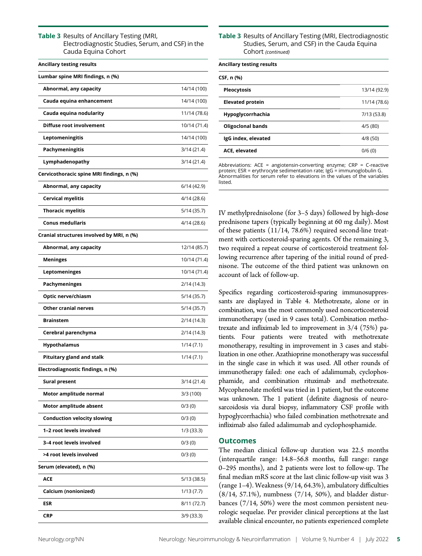Table 3 Results of Ancillary Testing (MRI, Electrodiagnostic Studies, Serum, and CSF) in the Cauda Equina Cohort

| <b>Ancillary testing results</b>          |              |
|-------------------------------------------|--------------|
| Lumbar spine MRI findings, n (%)          |              |
| Abnormal, any capacity                    | 14/14 (100)  |
| Cauda equina enhancement                  | 14/14 (100)  |
| Cauda equina nodularity                   | 11/14 (78.6) |
| Diffuse root involvement                  | 10/14 (71.4) |
| Leptomeningitis                           | 14/14 (100)  |
| Pachymeningitis                           | 3/14 (21.4)  |
| Lymphadenopathy                           | 3/14 (21.4)  |
| Cervicothoracic spine MRI findings, n (%) |              |
| Abnormal, any capacity                    | 6/14(42.9)   |
| Cervical myelitis                         | 4/14 (28.6)  |
| <b>Thoracic myelitis</b>                  | 5/14 (35.7)  |
| <b>Conus medullaris</b>                   | 4/14 (28.6)  |
| Cranial structures involved by MRI, n (%) |              |
| Abnormal, any capacity                    | 12/14 (85.7) |
| Meninges                                  | 10/14 (71.4) |
| Leptomeninges                             | 10/14 (71.4) |
| <b>Pachymeninges</b>                      | 2/14 (14.3)  |
| Optic nerve/chiasm                        | 5/14 (35.7)  |
| <b>Other cranial nerves</b>               | 5/14 (35.7)  |
| <b>Brainstem</b>                          | 2/14 (14.3)  |
| Cerebral parenchyma                       | 2/14 (14.3)  |
| <b>Hypothalamus</b>                       | 1/14(7.1)    |
| <b>Pituitary gland and stalk</b>          | 1/14(7.1)    |
| Electrodiagnostic findings, n (%)         |              |
| <b>Sural present</b>                      | 3/14 (21.4)  |
| Motor amplitude normal                    | 3/3 (100)    |
| Motor amplitude absent                    | 0/3(0)       |
| <b>Conduction velocity slowing</b>        | 0/3(0)       |
| 1-2 root levels involved                  | $1/3$ (33.3) |
| 3-4 root levels involved                  | 0/3(0)       |
| >4 root levels involved                   | 0/3(0)       |
| Serum (elevated), n (%)                   |              |
| <b>ACE</b>                                | 5/13 (38.5)  |
| Calcium (nonionized)                      | 1/13(7.7)    |
| ESR                                       | 8/11 (72.7)  |
| CRP                                       | 3/9 (33.3)   |

Table 3 Results of Ancillary Testing (MRI, Electrodiagnostic Studies, Serum, and CSF) in the Cauda Equina Cohort (continued)

| <b>Ancillary testing results</b> |              |
|----------------------------------|--------------|
| CSF, n (%)                       |              |
| <b>Pleocytosis</b>               | 13/14 (92.9) |
| <b>Elevated protein</b>          | 11/14 (78.6) |
| Hypoglycorrhachia                | 7/13 (53.8)  |
| <b>Oligoclonal bands</b>         | 4/5(80)      |
| IgG index, elevated              | 4/8(50)      |
| <b>ACE, elevated</b>             | 0/6(0)       |
|                                  |              |

Abbreviations:  $ACE = angiotensin-converting enzyme;$   $CRP = C-reactive$ protein;  $ESR = \text{erythrocyte}$  sedimentation rate;  $\lg G = \text{immunoglobulin} G$ . Abnormalities for serum refer to elevations in the values of the variables listed.

IV methylprednisolone (for 3–5 days) followed by high-dose prednisone tapers (typically beginning at 60 mg daily). Most of these patients (11/14, 78.6%) required second-line treatment with corticosteroid-sparing agents. Of the remaining 3, two required a repeat course of corticosteroid treatment following recurrence after tapering of the initial round of prednisone. The outcome of the third patient was unknown on account of lack of follow-up.

Specifics regarding corticosteroid-sparing immunosuppressants are displayed in Table 4. Methotrexate, alone or in combination, was the most commonly used noncorticosteroid immunotherapy (used in 9 cases total). Combination methotrexate and infliximab led to improvement in 3/4 (75%) patients. Four patients were treated with methotrexate monotherapy, resulting in improvement in 3 cases and stabilization in one other. Azathioprine monotherapy was successful in the single case in which it was used. All other rounds of immunotherapy failed: one each of adalimumab, cyclophosphamide, and combination rituximab and methotrexate. Mycophenolate mofetil was tried in 1 patient, but the outcome was unknown. The 1 patient (definite diagnosis of neurosarcoidosis via dural biopsy, inflammatory CSF profile with hypoglycorrhachia) who failed combination methotrexate and infliximab also failed adalimumab and cyclophosphamide.

#### **Outcomes**

The median clinical follow-up duration was 22.5 months (interquartile range: 14.8–56.8 months, full range: range 0–295 months), and 2 patients were lost to follow-up. The final median mRS score at the last clinic follow-up visit was 3 (range 1–4). Weakness (9/14, 64.3%), ambulatory difficulties (8/14, 57.1%), numbness (7/14, 50%), and bladder disturbances (7/14, 50%) were the most common persistent neurologic sequelae. Per provider clinical perceptions at the last available clinical encounter, no patients experienced complete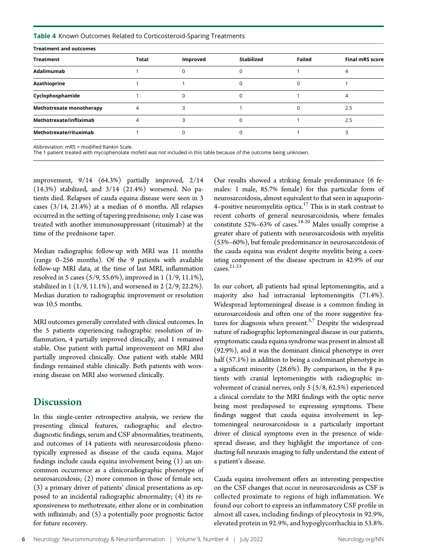Table 4 Known Outcomes Related to Corticosteroid-Sparing Treatments

| <b>Treatment and outcomes</b>   |              |          |                   |        |                        |
|---------------------------------|--------------|----------|-------------------|--------|------------------------|
| <b>Treatment</b>                | <b>Total</b> | Improved | <b>Stabilized</b> | Failed | <b>Final mRS score</b> |
| Adalimumab                      |              |          |                   |        |                        |
| Azathioprine                    |              |          |                   |        |                        |
| Cyclophosphamide                |              |          |                   |        |                        |
| <b>Methotrexate monotherapy</b> |              |          |                   |        | 2.5                    |
| Methotrexate/infliximab         |              |          |                   |        | 2.5                    |
| Methotrexate/rituximab          |              |          |                   |        |                        |

Abbreviation: mRS = modified Rankin Scale.

The 1 patient treated with mycophenolate mofetil was not included in this table because of the outcome being unknown.

improvement, 9/14 (64.3%) partially improved, 2/14  $(14.3%)$  stabilized, and  $3/14$   $(21.4%)$  worsened. No patients died. Relapses of cauda equina disease were seen in 3 cases (3/14, 21.4%) at a median of 6 months. All relapses occurred in the setting of tapering prednisone; only 1 case was treated with another immunosuppressant (rituximab) at the time of the prednisone taper.

Median radiographic follow-up with MRI was 11 months (range 0–256 months). Of the 9 patients with available follow-up MRI data, at the time of last MRI, inflammation resolved in 5 cases (5/9, 55.6%), improved in 1 (1/9, 11.1%), stabilized in 1 (1/9, 11.1%), and worsened in 2 (2/9, 22.2%). Median duration to radiographic improvement or resolution was 10.5 months.

MRI outcomes generally correlated with clinical outcomes. In the 5 patients experiencing radiographic resolution of inflammation, 4 partially improved clinically, and 1 remained stable. One patient with partial improvement on MRI also partially improved clinically. One patient with stable MRI findings remained stable clinically. Both patients with worsening disease on MRI also worsened clinically.

#### **Discussion**

In this single-center retrospective analysis, we review the presenting clinical features, radiographic and electrodiagnostic findings, serum and CSF abnormalities, treatments, and outcomes of 14 patients with neurosarcoidosis phenotypically expressed as disease of the cauda equina. Major findings include cauda equina involvement being (1) an uncommon occurrence as a clinicoradiographic phenotype of neurosarcoidosis; (2) more common in those of female sex; (3) a primary driver of patients' clinical presentations as opposed to an incidental radiographic abnormality; (4) its responsiveness to methotrexate, either alone or in combination with infliximab; and (5) a potentially poor prognostic factor for future recovery.

Our results showed a striking female predominance (6 females: 1 male, 85.7% female) for this particular form of neurosarcoidosis, almost equivalent to that seen in aquaporin-4–positive neuromyelitis optica. $17$  This is in stark contrast to recent cohorts of general neurosarcoidosis, where females constitute  $52\% - 63\%$  of cases.<sup>18-20</sup> Males usually comprise a greater share of patients with neurosarcoidosis with myelitis (53%–60%), but female predominance in neurosarcoidosis of the cauda equina was evident despite myelitis being a coexisting component of the disease spectrum in 42.9% of our cases.21-23

In our cohort, all patients had spinal leptomeningitis, and a majority also had intracranial leptomeningitis (71.4%). Widespread leptomeningeal disease is a common finding in neurosarcoidosis and often one of the more suggestive features for diagnosis when present.<sup>5,7</sup> Despite the widespread nature of radiographic leptomeningeal disease in our patients, symptomatic cauda equina syndrome was present in almost all (92.9%), and it was the dominant clinical phenotype in over half (57.1%) in addition to being a codominant phenotype in a significant minority (28.6%). By comparison, in the 8 patients with cranial leptomeningitis with radiographic involvement of cranial nerves, only 5 (5/8, 62.5%) experienced a clinical correlate to the MRI findings with the optic nerve being most predisposed to expressing symptoms. These findings suggest that cauda equina involvement in leptomeningeal neurosarcoidosis is a particularly important driver of clinical symptoms even in the presence of widespread disease, and they highlight the importance of conducting full neuraxis imaging to fully understand the extent of a patient's disease.

Cauda equina involvement offers an interesting perspective on the CSF changes that occur in neurosarcoidosis as CSF is collected proximate to regions of high inflammation. We found our cohort to express an inflammatory CSF profile in almost all cases, including findings of pleocytosis in 92.9%, elevated protein in 92.9%, and hypoglycorrhachia in 53.8%.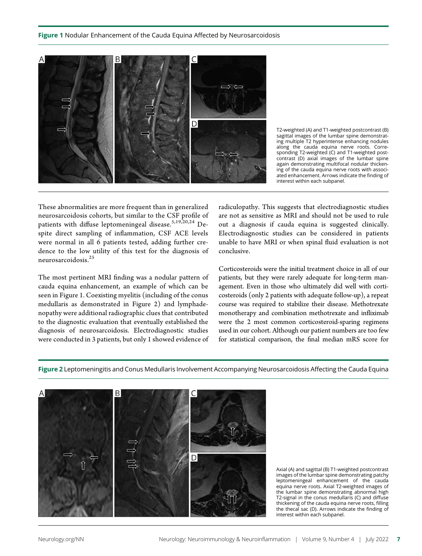

T2-weighted (A) and T1-weighted postcontrast (B) sagittal images of the lumbar spine demonstrating multiple T2 hyperintense enhancing nodules along the cauda equina nerve roots. Corresponding T2-weighted (C) and T1-weighted postcontrast (D) axial images of the lumbar spine again demonstrating multifocal nodular thickening of the cauda equina nerve roots with associated enhancement. Arrows indicate the finding of interest within each subpanel.

These abnormalities are more frequent than in generalized neurosarcoidosis cohorts, but similar to the CSF profile of patients with diffuse leptomeningeal disease.<sup>5,19,20,24</sup> Despite direct sampling of inflammation, CSF ACE levels were normal in all 6 patients tested, adding further credence to the low utility of this test for the diagnosis of neurosarcoidosis.<sup>25</sup>

The most pertinent MRI finding was a nodular pattern of cauda equina enhancement, an example of which can be seen in Figure 1. Coexisting myelitis (including of the conus medullaris as demonstrated in Figure 2) and lymphadenopathy were additional radiographic clues that contributed to the diagnostic evaluation that eventually established the diagnosis of neurosarcoidosis. Electrodiagnostic studies were conducted in 3 patients, but only 1 showed evidence of radiculopathy. This suggests that electrodiagnostic studies are not as sensitive as MRI and should not be used to rule out a diagnosis if cauda equina is suggested clinically. Electrodiagnostic studies can be considered in patients unable to have MRI or when spinal fluid evaluation is not conclusive.

Corticosteroids were the initial treatment choice in all of our patients, but they were rarely adequate for long-term management. Even in those who ultimately did well with corticosteroids (only 2 patients with adequate follow-up), a repeat course was required to stabilize their disease. Methotrexate monotherapy and combination methotrexate and infliximab were the 2 most common corticosteroid-sparing regimens used in our cohort. Although our patient numbers are too few for statistical comparison, the final median mRS score for

Figure 2 Leptomeningitis and Conus Medullaris Involvement Accompanying Neurosarcoidosis Affecting the Cauda Equina



Axial (A) and sagittal (B) T1-weighted postcontrast images of the lumbar spine demonstrating patchy leptomeningeal enhancement of the cauda equina nerve roots. Axial T2-weighted images of the lumbar spine demonstrating abnormal high T2-signal in the conus medullaris (C) and diffuse thickening of the cauda equina nerve roots, filling the thecal sac (D). Arrows indicate the finding of interest within each subpanel.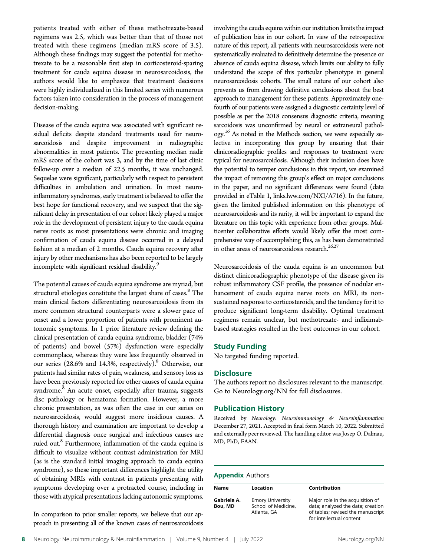patients treated with either of these methotrexate-based regimens was 2.5, which was better than that of those not treated with these regimens (median mRS score of 3.5). Although these findings may suggest the potential for methotrexate to be a reasonable first step in corticosteroid-sparing treatment for cauda equina disease in neurosarcoidosis, the authors would like to emphasize that treatment decisions were highly individualized in this limited series with numerous factors taken into consideration in the process of management decision-making.

Disease of the cauda equina was associated with significant residual deficits despite standard treatments used for neurosarcoidosis and despite improvement in radiographic abnormalities in most patients. The presenting median nadir mRS score of the cohort was 3, and by the time of last clinic follow-up over a median of 22.5 months, it was unchanged. Sequelae were significant, particularly with respect to persistent difficulties in ambulation and urination. In most neuroinflammatory syndromes, early treatment is believed to offer the best hope for functional recovery, and we suspect that the significant delay in presentation of our cohort likely played a major role in the development of persistent injury to the cauda equina nerve roots as most presentations were chronic and imaging confirmation of cauda equina disease occurred in a delayed fashion at a median of 2 months. Cauda equina recovery after injury by other mechanisms has also been reported to be largely incomplete with significant residual disability.<sup>9</sup>

The potential causes of cauda equina syndrome are myriad, but structural etiologies constitute the largest share of cases.<sup>8</sup> The main clinical factors differentiating neurosarcoidosis from its more common structural counterparts were a slower pace of onset and a lower proportion of patients with prominent autonomic symptoms. In 1 prior literature review defining the clinical presentation of cauda equina syndrome, bladder (74% of patients) and bowel (57%) dysfunction were especially commonplace, whereas they were less frequently observed in our series (28.6% and 14.3%, respectively).<sup>8</sup> Otherwise, our patients had similar rates of pain, weakness, and sensory loss as have been previously reported for other causes of cauda equina syndrome.<sup>8</sup> An acute onset, especially after trauma, suggests disc pathology or hematoma formation. However, a more chronic presentation, as was often the case in our series on neurosarcoidosis, would suggest more insidious causes. A thorough history and examination are important to develop a differential diagnosis once surgical and infectious causes are ruled out.<sup>8</sup> Furthermore, inflammation of the cauda equina is difficult to visualize without contrast administration for MRI (as is the standard initial imaging approach to cauda equina syndrome), so these important differences highlight the utility of obtaining MRIs with contrast in patients presenting with symptoms developing over a protracted course, including in those with atypical presentations lacking autonomic symptoms.

In comparison to prior smaller reports, we believe that our approach in presenting all of the known cases of neurosarcoidosis involving the cauda equina within our institution limits the impact of publication bias in our cohort. In view of the retrospective nature of this report, all patients with neurosarcoidosis were not systematically evaluated to definitively determine the presence or absence of cauda equina disease, which limits our ability to fully understand the scope of this particular phenotype in general neurosarcoidosis cohorts. The small nature of our cohort also prevents us from drawing definitive conclusions about the best approach to management for these patients. Approximately onefourth of our patients were assigned a diagnostic certainty level of possible as per the 2018 consensus diagnostic criteria, meaning sarcoidosis was unconfirmed by neural or extraneural pathology. <sup>16</sup> As noted in the Methods section, we were especially selective in incorporating this group by ensuring that their clinicoradiographic profiles and responses to treatment were typical for neurosarcoidosis. Although their inclusion does have the potential to temper conclusions in this report, we examined the impact of removing this group's effect on major conclusions in the paper, and no significant differences were found (data provided in eTable 1, [links.lww.com/NXI/A716\)](http://links.lww.com/NXI/A716). In the future, given the limited published information on this phenotype of neurosarcoidosis and its rarity, it will be important to expand the literature on this topic with experience from other groups. Multicenter collaborative efforts would likely offer the most comprehensive way of accomplishing this, as has been demonstrated in other areas of neurosarcoidosis research. $^{26,27}$ 

Neurosarcoidosis of the cauda equina is an uncommon but distinct clinicoradiographic phenotype of the disease given its robust inflammatory CSF profile, the presence of nodular enhancement of cauda equina nerve roots on MRI, its nonsustained response to corticosteroids, and the tendency for it to produce significant long-term disability. Optimal treatment regimens remain unclear, but methotrexate- and infliximabbased strategies resulted in the best outcomes in our cohort.

#### Study Funding

No targeted funding reported.

#### **Disclosure**

The authors report no disclosures relevant to the manuscript. Go to [Neurology.org/NN](https://nn.neurology.org/content/9/4/e1170/tab-article-info) for full disclosures.

#### Publication History

Received by Neurology: Neuroimmunology & Neuroinflammation December 27, 2021. Accepted in final form March 10, 2022. Submitted and externally peer reviewed. The handling editor was Josep O. Dalmau, MD, PhD, FAAN.

#### Appendix Authors

| Name                   | Location                                                      | Contribution                                                                                                                           |
|------------------------|---------------------------------------------------------------|----------------------------------------------------------------------------------------------------------------------------------------|
| Gabriela A.<br>Bou, MD | <b>Emory University</b><br>School of Medicine.<br>Atlanta, GA | Major role in the acquisition of<br>data; analyzed the data; creation<br>of tables; revised the manuscript<br>for intellectual content |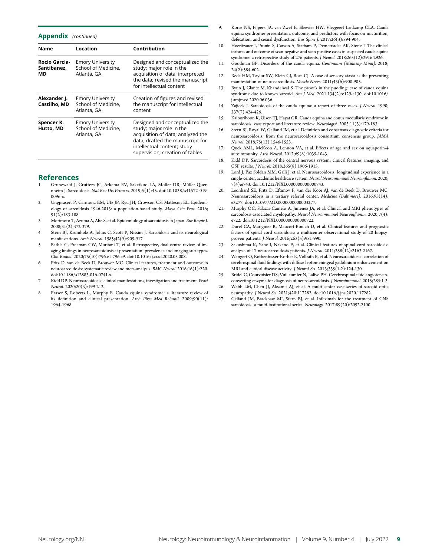Appendix (continued)

| <b>Name</b>                        | Location                                                      | Contribution                                                                                                                                                                                           |  |
|------------------------------------|---------------------------------------------------------------|--------------------------------------------------------------------------------------------------------------------------------------------------------------------------------------------------------|--|
| Rocio Garcia-<br>Santibanez,<br>МD | <b>Emory University</b><br>School of Medicine,<br>Atlanta, GA | Designed and conceptualized the<br>study; major role in the<br>acquisition of data; interpreted<br>the data; revised the manuscript<br>for intellectual content                                        |  |
| Alexander J.<br>Castilho, MD       | <b>Emory University</b><br>School of Medicine.<br>Atlanta, GA | Creation of figures and revised<br>the manuscript for intellectual<br>content                                                                                                                          |  |
| Spencer K.<br>Hutto, MD            | <b>Emory University</b><br>School of Medicine,<br>Atlanta, GA | Designed and conceptualized the<br>study; major role in the<br>acquisition of data; analyzed the<br>data; drafted the manuscript for<br>intellectual content; study<br>supervision; creation of tables |  |

#### References

- 1. Grunewald J, Grutters JC, Arkema EV, Saketkoo LA, Moller DR, M¨uller-Quernheim J. Sarcoidosis. Nat Rev Dis Primers. 2019;5(1):45. doi:10.1038/s41572-019- 0096-x.
- 2. Ungprasert P, Carmona EM, Utz JP, Ryu JH, Crowson CS, Matteson EL. Epidemiology of sarcoidosis 1946-2013: a population-based study. Mayo Clin Proc. 2016; 91(2):183-188.
- 3. Morimoto T, Azuma A, Abe S, et al. Epidemiology of sarcoidosis in Japan. Eur Respir J. 2008;31(2):372-379.
- 4. Stern BJ, Krumholz A, Johns C, Scott P, Nissim J. Sarcoidosis and its neurological manifestations. Arch Neurol. 1985;42(9):909-917.
- 5. Bathla G, Freeman CW, Moritani T, et al. Retrospective, dual-centre review of imaging findings in neurosarcoidosis at presentation: prevalence and imaging sub-types. Clin Radiol. 2020;75(10):796.e1-796.e9. doi:10.1016/j.crad.2020.05.008.
- 6. Fritz D, van de Beek D, Brouwer MC. Clinical features, treatment and outcome in neurosarcoidosis: systematic review and meta-analysis. BMC Neurol. 2016;16(1):220. doi:10.1186/s12883-016-0741-x.
- 7. Kidd DP. Neurosarcoidosis: clinical manifestations, investigation and treatment. Pract Neurol. 2020;20(3):199-212.
- 8. Fraser S, Roberts L, Murphy E. Cauda equina syndrome: a literature review of its definition and clinical presentation. Arch Phys Med Rehabil. 2009;90(11): 1964-1968.
- 9. Korse NS, Pijpers JA, van Zwet E, Elzevier HW, Vleggeert-Lankamp CLA. Cauda equina syndrome: presentation, outcome, and predictors with focus on micturition, defecation, and sexual dysfunction. Eur Spine J. 2017;26(3):894-904.
- 10. Hoeritzauer I, Pronin S, Carson A, Statham P, Demetriades AK, Stone J. The clinical features and outcome of scan-negative and scan-positive cases in suspected cauda equina syndrome: a retrospective study of 276 patients. J Neurol. 2018;265(12):2916-2926.
- 11. Goodman BP. Disorders of the cauda equina. Continuum (Minneap Minn). 2018; 24(2):584-602.
- 12. Reda HM, Taylor SW, Klein CJ, Boes CJ. A case of sensory ataxia as the presenting manifestation of neurosarcoidosis. Muscle Nerve. 2011;43(6):900-905.
- 13. Byun J, Glantz M, Khandelwal S. The proof's in the pudding: case of cauda equina syndrome due to known sarcoid. Am J Med. 2021;134(2):e129-e130. doi:10.1016/ j.amjmed.2020.06.036.
- 14. Zajicek J. Sarcoidosis of the cauda equina: a report of three cases. *J Neurol.* 1990; 237(7):424-426.
- 15. Kaiboriboon K, Olsen TJ, Hayat GR. Cauda equina and conus medullaris syndrome in sarcoidosis: case report and literature review. Neurologist. 2005;11(3):179-183.
- 16. Stern BJ, Royal W, Gelfand JM, et al. Definition and consensus diagnostic criteria for neurosarcoidosis: from the neurosarcoidosis consortium consensus group. JAMA Neurol. 2018;75(12):1546-1553.
- 17. Quek AML, McKeon A, Lennon VA, et al. Effects of age and sex on aquaporin-4 autoimmunity. Arch Neurol. 2012;69(8):1039-1043.
- 18. Kidd DP. Sarcoidosis of the central nervous system: clinical features, imaging, and CSF results. J Neurol. 2018;265(8):1906-1915.
- 19. Lord J, Paz Soldan MM, Galli J, et al. Neurosarcoidosis: longitudinal experience in a single-center, academic healthcare system. Neurol Neuroimmunol Neuroinflamm. 2020; 7(4):e743. doi:10.1212/NXI.0000000000000743.
- 20. Leonhard SE, Fritz D, Eftimov F, van der Kooi AJ, van de Beek D, Brouwer MC. Neurosarcoidosis in a tertiary referral center. Medicine (Baltimore). 2016;95(14): e3277. doi:10.1097/MD.0000000000003277.
- 21. Murphy OC, Salazar-Camelo A, Jimenez JA, et al. Clinical and MRI phenotypes of sarcoidosis-associated myelopathy. Neurol Neuroimmunol Neuroinflamm. 2020;7(4): e722. doi:10.1212/NXI.0000000000000722.
- 22. Durel CA, Marignier R, Maucort-Boulch D, et al. Clinical features and prognostic factors of spinal cord sarcoidosis: a multicenter observational study of 20 biopsyproven patients. J Neurol. 2016;263(5):981-990.
- 23. Sakushima K, Yabe I, Nakano F, et al. Clinical features of spinal cord sarcoidosis: analysis of 17 neurosarcoidosis patients. J Neurol. 2011;258(12):2163-2167.
- 24. Wengert O, Rothenfusser-Korber E, Vollrath B, et al. Neurosarcoidosis: correlation of cerebrospinal fluid findings with diffuse leptomeningeal gadolinium enhancement on MRI and clinical disease activity. J Neurol Sci. 2013;335(1-2):124-130.
- 25. Bridel C, Courvoisier DS, Vuilleumier N, Lalive PH. Cerebrospinal fluid angiotensinconverting enzyme for diagnosis of neurosarcoidosis. J Neuroimmunol. 2015;285:1-3.
- 26. Webb LM, Chen JJ, Aksamit AJ, et al. A multi-center case series of sarcoid optic neuropathy. J Neurol Sci. 2021;420:117282. doi:10.1016/j.jns.2020.117282.
- 27. Gelfand JM, Bradshaw MJ, Stern BJ, et al. Infliximab for the treatment of CNS sarcoidosis: a multi-institutional series. Neurology. 2017;89(20):2092-2100.